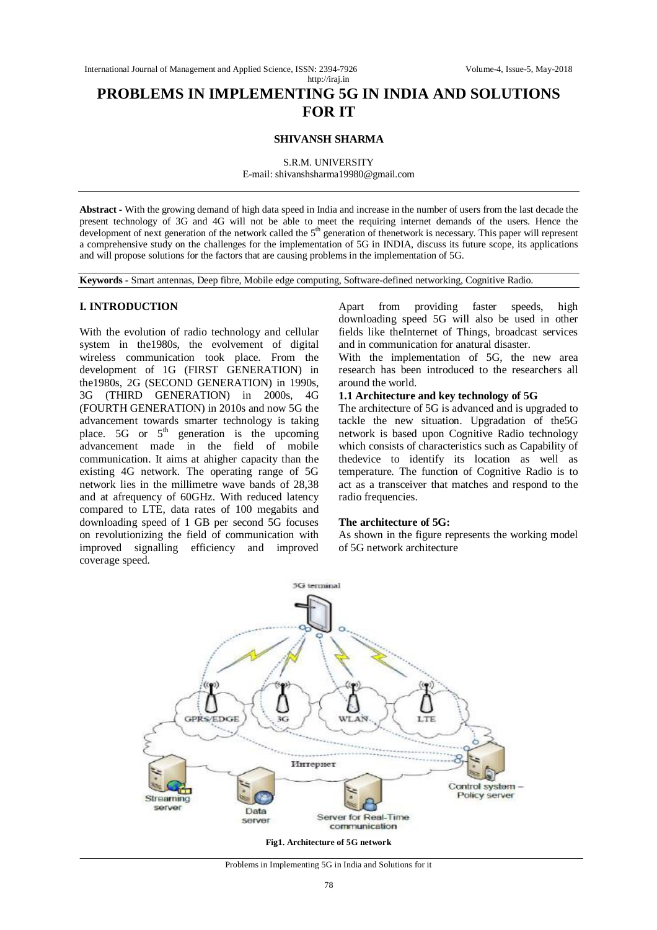# **PROBLEMS IN IMPLEMENTING 5G IN INDIA AND SOLUTIONS FOR IT**

#### **SHIVANSH SHARMA**

S.R.M. UNIVERSITY

E-mail: shivanshsharma19980@gmail.com

**Abstract -** With the growing demand of high data speed in India and increase in the number of users from the last decade the present technology of 3G and 4G will not be able to meet the requiring internet demands of the users. Hence the development of next generation of the network called the  $5<sup>th</sup>$  generation of thenetwork is necessary. This paper will represent a comprehensive study on the challenges for the implementation of 5G in INDIA, discuss its future scope, its applications and will propose solutions for the factors that are causing problems in the implementation of 5G.

**Keywords -** Smart antennas, Deep fibre, Mobile edge computing, Software-defined networking, Cognitive Radio.

#### **I. INTRODUCTION**

With the evolution of radio technology and cellular system in the1980s, the evolvement of digital wireless communication took place. From the development of 1G (FIRST GENERATION) in the1980s, 2G (SECOND GENERATION) in 1990s, 3G (THIRD GENERATION) in 2000s, 4G (FOURTH GENERATION) in 2010s and now 5G the advancement towards smarter technology is taking place.  $5G$  or  $5<sup>th</sup>$  generation is the upcoming advancement made in the field of mobile communication. It aims at ahigher capacity than the existing 4G network. The operating range of 5G network lies in the millimetre wave bands of 28,38 and at afrequency of 60GHz. With reduced latency compared to LTE, data rates of 100 megabits and downloading speed of 1 GB per second 5G focuses on revolutionizing the field of communication with improved signalling efficiency and improved coverage speed.

Apart from providing faster speeds, high downloading speed 5G will also be used in other fields like theInternet of Things, broadcast services and in communication for anatural disaster.

With the implementation of 5G, the new area research has been introduced to the researchers all around the world.

#### **1.1 Architecture and key technology of 5G**

The architecture of 5G is advanced and is upgraded to tackle the new situation. Upgradation of the5G network is based upon Cognitive Radio technology which consists of characteristics such as Capability of thedevice to identify its location as well as temperature. The function of Cognitive Radio is to act as a transceiver that matches and respond to the radio frequencies.

#### **The architecture of 5G:**

As shown in the figure represents the working model of 5G network architecture



Problems in Implementing 5G in India and Solutions for it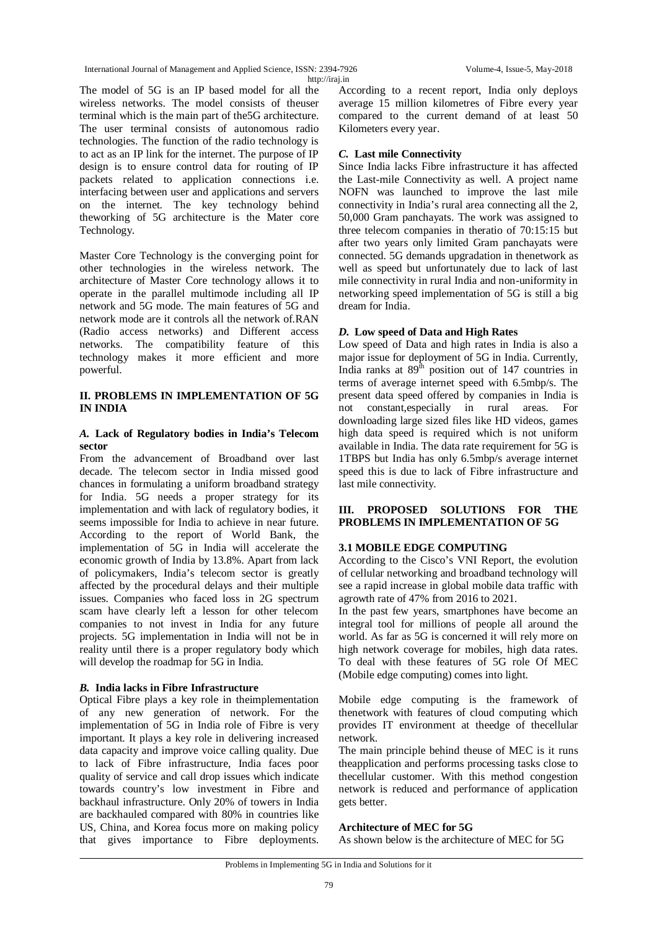International Journal of Management and Applied Science, ISSN: 2394-7926 Volume-4, Issue-5, May-2018 http://iraj.in

The model of 5G is an IP based model for all the wireless networks. The model consists of theuser terminal which is the main part of the5G architecture. The user terminal consists of autonomous radio technologies. The function of the radio technology is to act as an IP link for the internet. The purpose of IP design is to ensure control data for routing of IP packets related to application connections i.e. interfacing between user and applications and servers on the internet. The key technology behind theworking of 5G architecture is the Mater core Technology.

Master Core Technology is the converging point for other technologies in the wireless network. The architecture of Master Core technology allows it to operate in the parallel multimode including all IP network and 5G mode. The main features of 5G and network mode are it controls all the network of.RAN (Radio access networks) and Different access networks. The compatibility feature of this technology makes it more efficient and more powerful.

### **II. PROBLEMS IN IMPLEMENTATION OF 5G IN INDIA**

### *A.* **Lack of Regulatory bodies in India's Telecom sector**

From the advancement of Broadband over last decade. The telecom sector in India missed good chances in formulating a uniform broadband strategy for India. 5G needs a proper strategy for its implementation and with lack of regulatory bodies, it seems impossible for India to achieve in near future. According to the report of World Bank, the implementation of 5G in India will accelerate the economic growth of India by 13.8%. Apart from lack of policymakers, India's telecom sector is greatly affected by the procedural delays and their multiple issues. Companies who faced loss in 2G spectrum scam have clearly left a lesson for other telecom companies to not invest in India for any future projects. 5G implementation in India will not be in reality until there is a proper regulatory body which will develop the roadmap for 5G in India.

## *B.* **India lacks in Fibre Infrastructure**

Optical Fibre plays a key role in theimplementation of any new generation of network. For the implementation of 5G in India role of Fibre is very important. It plays a key role in delivering increased data capacity and improve voice calling quality. Due to lack of Fibre infrastructure, India faces poor quality of service and call drop issues which indicate towards country's low investment in Fibre and backhaul infrastructure. Only 20% of towers in India are backhauled compared with 80% in countries like US, China, and Korea focus more on making policy that gives importance to Fibre deployments.

According to a recent report, India only deploys average 15 million kilometres of Fibre every year compared to the current demand of at least 50 Kilometers every year.

## *C.* **Last mile Connectivity**

Since India lacks Fibre infrastructure it has affected the Last-mile Connectivity as well. A project name NOFN was launched to improve the last mile connectivity in India's rural area connecting all the 2, 50,000 Gram panchayats. The work was assigned to three telecom companies in theratio of 70:15:15 but after two years only limited Gram panchayats were connected. 5G demands upgradation in thenetwork as well as speed but unfortunately due to lack of last mile connectivity in rural India and non-uniformity in networking speed implementation of 5G is still a big dream for India.

## *D.* **Low speed of Data and High Rates**

Low speed of Data and high rates in India is also a major issue for deployment of 5G in India. Currently, India ranks at  $89<sup>th</sup>$  position out of 147 countries in terms of average internet speed with 6.5mbp/s. The present data speed offered by companies in India is not constant,especially in rural areas. For downloading large sized files like HD videos, games high data speed is required which is not uniform available in India. The data rate requirement for 5G is 1TBPS but India has only 6.5mbp/s average internet speed this is due to lack of Fibre infrastructure and last mile connectivity.

### **III. PROPOSED SOLUTIONS FOR THE PROBLEMS IN IMPLEMENTATION OF 5G**

## **3.1 MOBILE EDGE COMPUTING**

According to the Cisco's VNI Report, the evolution of cellular networking and broadband technology will see a rapid increase in global mobile data traffic with agrowth rate of 47% from 2016 to 2021.

In the past few years, smartphones have become an integral tool for millions of people all around the world. As far as 5G is concerned it will rely more on high network coverage for mobiles, high data rates. To deal with these features of 5G role Of MEC (Mobile edge computing) comes into light.

Mobile edge computing is the framework of thenetwork with features of cloud computing which provides IT environment at theedge of thecellular network.

The main principle behind theuse of MEC is it runs theapplication and performs processing tasks close to thecellular customer. With this method congestion network is reduced and performance of application gets better.

## **Architecture of MEC for 5G**

As shown below is the architecture of MEC for 5G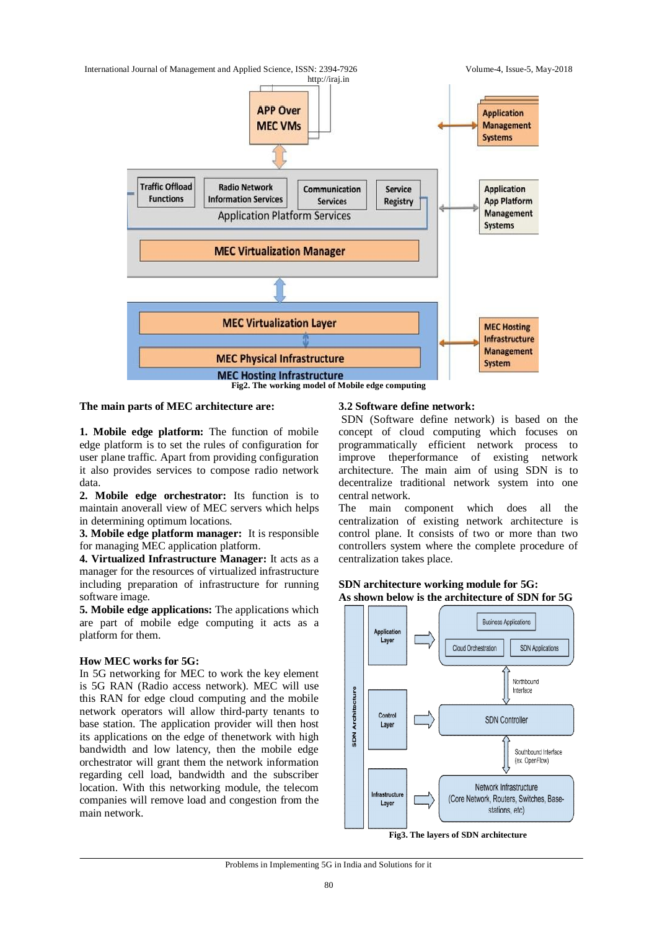

#### **The main parts of MEC architecture are:**

**1. Mobile edge platform:** The function of mobile edge platform is to set the rules of configuration for user plane traffic. Apart from providing configuration it also provides services to compose radio network data.

**2. Mobile edge orchestrator:** Its function is to maintain anoverall view of MEC servers which helps in determining optimum locations.

**3. Mobile edge platform manager:** It is responsible for managing MEC application platform.

**4. Virtualized Infrastructure Manager:** It acts as a manager for the resources of virtualized infrastructure including preparation of infrastructure for running software image.

**5. Mobile edge applications:** The applications which are part of mobile edge computing it acts as a platform for them.

#### **How MEC works for 5G:**

In 5G networking for MEC to work the key element is 5G RAN (Radio access network). MEC will use this RAN for edge cloud computing and the mobile network operators will allow third-party tenants to base station. The application provider will then host its applications on the edge of thenetwork with high bandwidth and low latency, then the mobile edge orchestrator will grant them the network information regarding cell load, bandwidth and the subscriber location. With this networking module, the telecom companies will remove load and congestion from the main network.

#### **3.2 Software define network:**

SDN (Software define network) is based on the concept of cloud computing which focuses on programmatically efficient network process to improve theperformance of existing network architecture. The main aim of using SDN is to decentralize traditional network system into one central network.

The main component which does all the centralization of existing network architecture is control plane. It consists of two or more than two controllers system where the complete procedure of centralization takes place.

#### **SDN architecture working module for 5G: As shown below is the architecture of SDN for 5G**



#### Problems in Implementing 5G in India and Solutions for it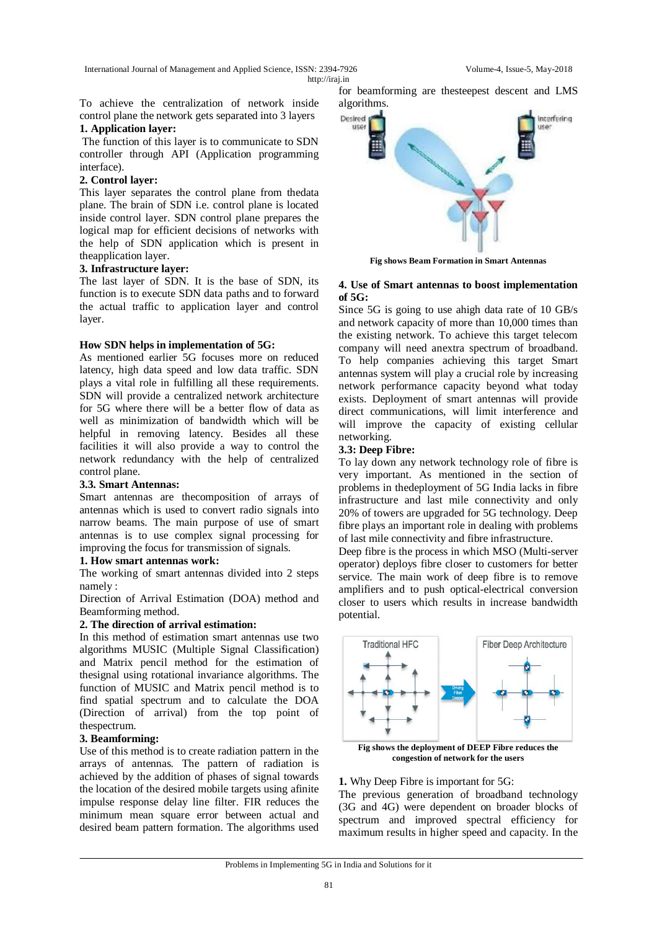International Journal of Management and Applied Science, ISSN: 2394-7926 Volume-4, Issue-5, May-2018

http://iraj.in

To achieve the centralization of network inside control plane the network gets separated into 3 layers

# **1. Application layer:**

The function of this layer is to communicate to SDN controller through API (Application programming interface).

# **2. Control layer:**

This layer separates the control plane from thedata plane. The brain of SDN i.e. control plane is located inside control layer. SDN control plane prepares the logical map for efficient decisions of networks with the help of SDN application which is present in theapplication layer.

### **3. Infrastructure layer:**

The last layer of SDN. It is the base of SDN, its function is to execute SDN data paths and to forward the actual traffic to application layer and control layer.

### **How SDN helps in implementation of 5G:**

As mentioned earlier 5G focuses more on reduced latency, high data speed and low data traffic. SDN plays a vital role in fulfilling all these requirements. SDN will provide a centralized network architecture for 5G where there will be a better flow of data as well as minimization of bandwidth which will be helpful in removing latency. Besides all these facilities it will also provide a way to control the network redundancy with the help of centralized control plane.

### **3.3. Smart Antennas:**

Smart antennas are thecomposition of arrays of antennas which is used to convert radio signals into narrow beams. The main purpose of use of smart antennas is to use complex signal processing for improving the focus for transmission of signals.

### **1. How smart antennas work:**

The working of smart antennas divided into 2 steps namely :

Direction of Arrival Estimation (DOA) method and Beamforming method.

### **2. The direction of arrival estimation:**

In this method of estimation smart antennas use two algorithms MUSIC (Multiple Signal Classification) and Matrix pencil method for the estimation of thesignal using rotational invariance algorithms. The function of MUSIC and Matrix pencil method is to find spatial spectrum and to calculate the DOA (Direction of arrival) from the top point of thespectrum.

### **3. Beamforming:**

Use of this method is to create radiation pattern in the arrays of antennas. The pattern of radiation is achieved by the addition of phases of signal towards the location of the desired mobile targets using afinite impulse response delay line filter. FIR reduces the minimum mean square error between actual and desired beam pattern formation. The algorithms used

for beamforming are thesteepest descent and LMS algorithms.



**Fig shows Beam Formation in Smart Antennas**

#### **4. Use of Smart antennas to boost implementation of 5G:**

Since 5G is going to use ahigh data rate of 10 GB/s and network capacity of more than 10,000 times than the existing network. To achieve this target telecom company will need anextra spectrum of broadband. To help companies achieving this target Smart antennas system will play a crucial role by increasing network performance capacity beyond what today exists. Deployment of smart antennas will provide direct communications, will limit interference and will improve the capacity of existing cellular networking.

### **3.3: Deep Fibre:**

To lay down any network technology role of fibre is very important. As mentioned in the section of problems in thedeployment of 5G India lacks in fibre infrastructure and last mile connectivity and only 20% of towers are upgraded for 5G technology. Deep fibre plays an important role in dealing with problems of last mile connectivity and fibre infrastructure.

Deep fibre is the process in which MSO (Multi-server operator) deploys fibre closer to customers for better service. The main work of deep fibre is to remove amplifiers and to push optical-electrical conversion closer to users which results in increase bandwidth potential.



**congestion of network for the users**

### **1.** Why Deep Fibre is important for 5G:

The previous generation of broadband technology (3G and 4G) were dependent on broader blocks of spectrum and improved spectral efficiency for maximum results in higher speed and capacity. In the